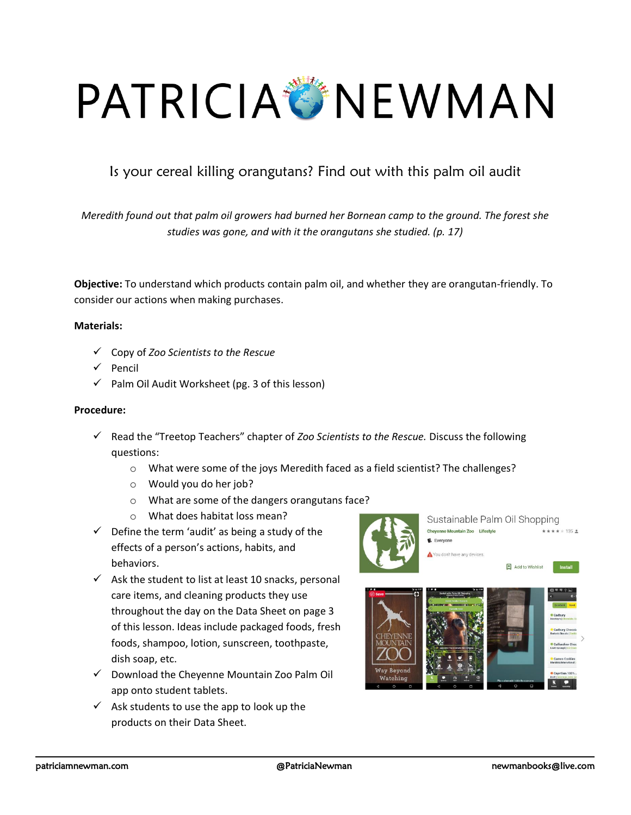# PATRICIA NEWMAN

## Is your cereal killing orangutans? Find out with this palm oil audit

*Meredith found out that palm oil growers had burned her Bornean camp to the ground. The forest she studies was gone, and with it the orangutans she studied. (p. 17)*

**Objective:** To understand which products contain palm oil, and whether they are orangutan-friendly. To consider our actions when making purchases.

#### **Materials:**

- ✓ Copy of *Zoo Scientists to the Rescue*
- ✓ Pencil
- $\checkmark$  Palm Oil Audit Worksheet (pg. 3 of this lesson)

#### **Procedure:**

- ✓ Read the "Treetop Teachers" chapter of *Zoo Scientists to the Rescue.* Discuss the following questions:
	- o What were some of the joys Meredith faced as a field scientist? The challenges?
	- o Would you do her job?
	- o What are some of the dangers orangutans face?
	- o What does habitat loss mean?
- $\checkmark$  Define the term 'audit' as being a study of the effects of a person's actions, habits, and behaviors.
- $\checkmark$  Ask the student to list at least 10 snacks, personal care items, and cleaning products they use throughout the day on the Data Sheet on page 3 of this lesson. Ideas include packaged foods, fresh foods, shampoo, lotion, sunscreen, toothpaste, dish soap, etc.
- ✓ Download the Cheyenne Mountain Zoo Palm Oil app onto student tablets.
- $\checkmark$  Ask students to use the app to look up the products on their Data Sheet.

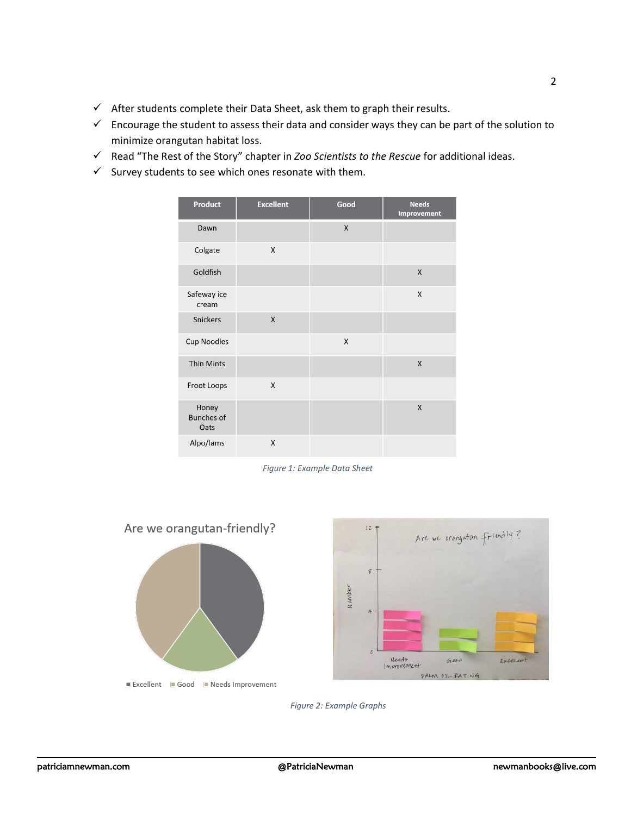- $\checkmark$  After students complete their Data Sheet, ask them to graph their results.
- $\checkmark$  Encourage the student to assess their data and consider ways they can be part of the solution to minimize orangutan habitat loss.
- ✓ Read "The Rest of the Story" chapter in *Zoo Scientists to the Rescue* for additional ideas.
- $\checkmark$  Survey students to see which ones resonate with them.

| <b>Product</b>                     | <b>Excellent</b> | Good | <b>Needs</b><br><b>Improvement</b> |
|------------------------------------|------------------|------|------------------------------------|
| Dawn                               |                  | X    |                                    |
| Colgate                            | X                |      |                                    |
| Goldfish                           |                  |      | X                                  |
| Safeway ice<br>cream               |                  |      | X                                  |
| Snickers                           | X                |      |                                    |
| <b>Cup Noodles</b>                 |                  | X    |                                    |
| <b>Thin Mints</b>                  |                  |      | X                                  |
| Froot Loops                        | X                |      |                                    |
| Honey<br><b>Bunches of</b><br>Oats |                  |      | X                                  |
| Alpo/lams                          | X                |      |                                    |

*Figure 1: Example Data Sheet*